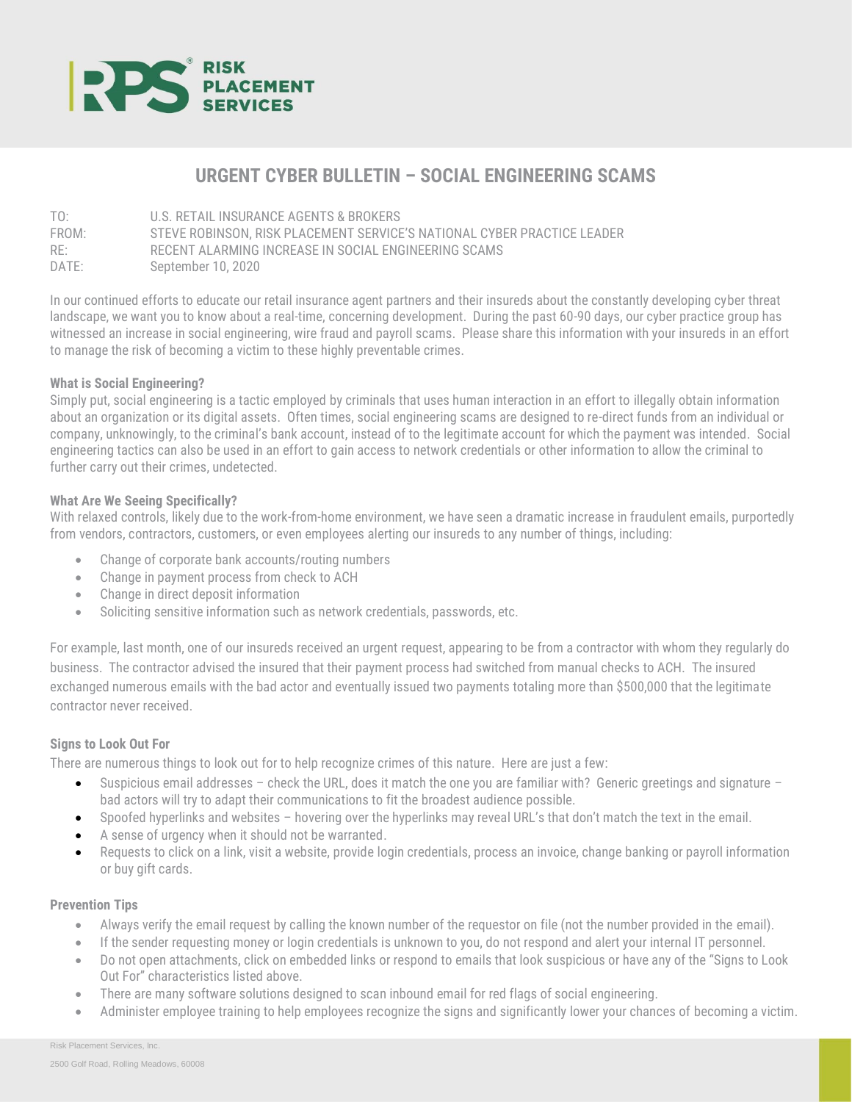

# **URGENT CYBER BULLETIN – SOCIAL ENGINEERING SCAMS**

TO: U.S. RETAIL INSURANCE AGENTS & BROKERS FROM: STEVE ROBINSON, RISK PLACEMENT SERVICE'S NATIONAL CYBER PRACTICE LEADER RE: RECENT ALARMING INCREASE IN SOCIAL ENGINEERING SCAMS DATE: September 10, 2020

In our continued efforts to educate our retail insurance agent partners and their insureds about the constantly developing cyber threat landscape, we want you to know about a real-time, concerning development. During the past 60-90 days, our cyber practice group has witnessed an increase in social engineering, wire fraud and payroll scams. Please share this information with your insureds in an effort to manage the risk of becoming a victim to these highly preventable crimes.

# **What is Social Engineering?**

Simply put, social engineering is a tactic employed by criminals that uses human interaction in an effort to illegally obtain information about an organization or its digital assets. Often times, social engineering scams are designed to re-direct funds from an individual or company, unknowingly, to the criminal's bank account, instead of to the legitimate account for which the payment was intended. Social engineering tactics can also be used in an effort to gain access to network credentials or other information to allow the criminal to further carry out their crimes, undetected.

### **What Are We Seeing Specifically?**

With relaxed controls, likely due to the work-from-home environment, we have seen a dramatic increase in fraudulent emails, purportedly from vendors, contractors, customers, or even employees alerting our insureds to any number of things, including:

- Change of corporate bank accounts/routing numbers
- Change in payment process from check to ACH
- Change in direct deposit information
- Soliciting sensitive information such as network credentials, passwords, etc.

For example, last month, one of our insureds received an urgent request, appearing to be from a contractor with whom they regularly do business. The contractor advised the insured that their payment process had switched from manual checks to ACH. The insured exchanged numerous emails with the bad actor and eventually issued two payments totaling more than \$500,000 that the legitimate contractor never received.

# **Signs to Look Out For**

There are numerous things to look out for to help recognize crimes of this nature. Here are just a few:

- Suspicious email addresses check the URL, does it match the one you are familiar with? Generic greetings and signature bad actors will try to adapt their communications to fit the broadest audience possible.
- Spoofed hyperlinks and websites hovering over the hyperlinks may reveal URL's that don't match the text in the email.
- A sense of urgency when it should not be warranted.
- Requests to click on a link, visit a website, provide login credentials, process an invoice, change banking or payroll information or buy gift cards.

# **Prevention Tips**

- Always verify the email request by calling the known number of the requestor on file (not the number provided in the email).
- If the sender requesting money or login credentials is unknown to you, do not respond and alert your internal IT personnel.
- Do not open attachments, click on embedded links or respond to emails that look suspicious or have any of the "Signs to Look Out For" characteristics listed above.
- There are many software solutions designed to scan inbound email for red flags of social engineering.
- Administer employee training to help employees recognize the signs and significantly lower your chances of becoming a victim.